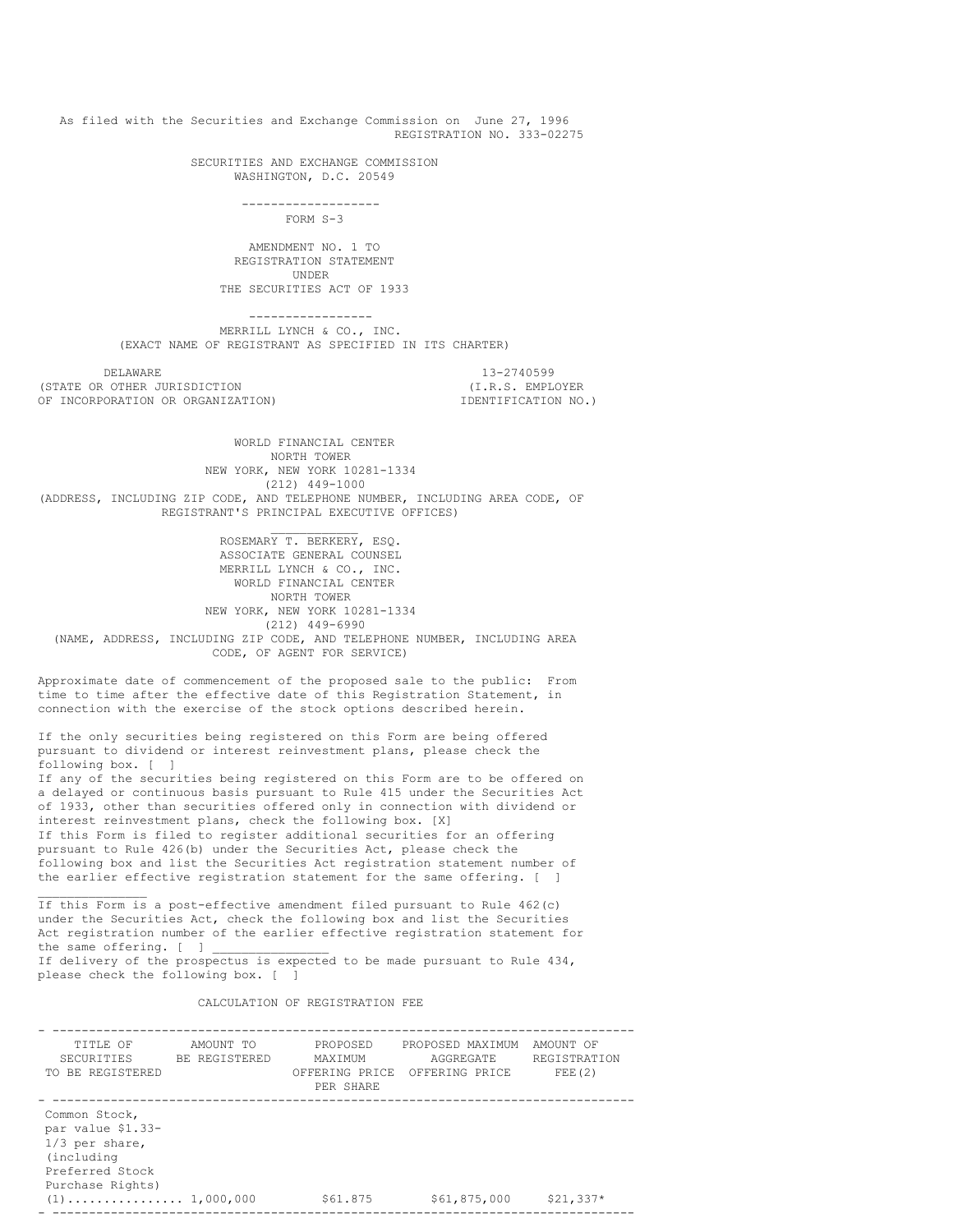As filed with the Securities and Exchange Commission on June 27, 1996 REGISTRATION NO. 333-02275

> SECURITIES AND EXCHANGE COMMISSION WASHINGTON, D.C. 20549

> > ------------------- FORM S-3

AMENDMENT NO. 1 TO REGISTRATION STATEMENT UNDER THE SECURITIES ACT OF 1933

----------------- MERRILL LYNCH & CO., INC. (EXACT NAME OF REGISTRANT AS SPECIFIED IN ITS CHARTER)

DELAWARE 13-2740599<br>
0THER JURISDICTION (I.R.S. EMPLOYER) (STATE OR OTHER JURISDICTION OF INCORPORATION OR ORGANIZATION) IDENTIFICATION NO.)

 $\frac{1}{2}$  ,  $\frac{1}{2}$  ,  $\frac{1}{2}$  ,  $\frac{1}{2}$  ,  $\frac{1}{2}$  ,  $\frac{1}{2}$  ,  $\frac{1}{2}$  ,  $\frac{1}{2}$  ,  $\frac{1}{2}$ 

WORLD FINANCIAL CENTER NORTH TOWER NEW YORK, NEW YORK 10281-1334 (212) 449-1000 (ADDRESS, INCLUDING ZIP CODE, AND TELEPHONE NUMBER, INCLUDING AREA CODE, OF REGISTRANT'S PRINCIPAL EXECUTIVE OFFICES)

 $\mathcal{L}=\mathcal{L}$ 

ROSEMARY T. BERKERY, ESQ. ASSOCIATE GENERAL COUNSEL MERRILL LYNCH & CO., INC. WORLD FINANCIAL CENTER NORTH TOWER NEW YORK, NEW YORK 10281-1334 (212) 449-6990 (NAME, ADDRESS, INCLUDING ZIP CODE, AND TELEPHONE NUMBER, INCLUDING AREA CODE, OF AGENT FOR SERVICE)

Approximate date of commencement of the proposed sale to the public: From time to time after the effective date of this Registration Statement, in connection with the exercise of the stock options described herein.

If the only securities being registered on this Form are being offered pursuant to dividend or interest reinvestment plans, please check the following box. [ ]

If any of the securities being registered on this Form are to be offered on a delayed or continuous basis pursuant to Rule 415 under the Securities Act of 1933, other than securities offered only in connection with dividend or interest reinvestment plans, check the following box. [X] If this Form is filed to register additional securities for an offering pursuant to Rule 426(b) under the Securities Act, please check the following box and list the Securities Act registration statement number of the earlier effective registration statement for the same offering. [ ]

If this Form is a post-effective amendment filed pursuant to Rule 462(c) under the Securities Act, check the following box and list the Securities Act registration number of the earlier effective registration statement for the same offering. [ ]

If delivery of the prospectus is expected to be made pursuant to Rule 434, please check the following box. [ ]

CALCULATION OF REGISTRATION FEE

| TITLE OF                                                                                                    | AMOUNT TO     | PROPOSED                               | PROPOSED MAXIMUM            | AMOUNT OF              |
|-------------------------------------------------------------------------------------------------------------|---------------|----------------------------------------|-----------------------------|------------------------|
| <b>SECURITIES</b><br>TO BE REGISTERED                                                                       | BE REGISTERED | MAXTMUM<br>OFFERING PRICE<br>PER SHARE | AGGREGATE<br>OFFERING PRICE | REGISTRATION<br>FEE(2) |
| Common Stock,<br>par value \$1.33-<br>$1/3$ per share,<br>(including<br>Preferred Stock<br>Purchase Rights) |               | \$61,875                               | \$61,875,000                | $$21,337*$             |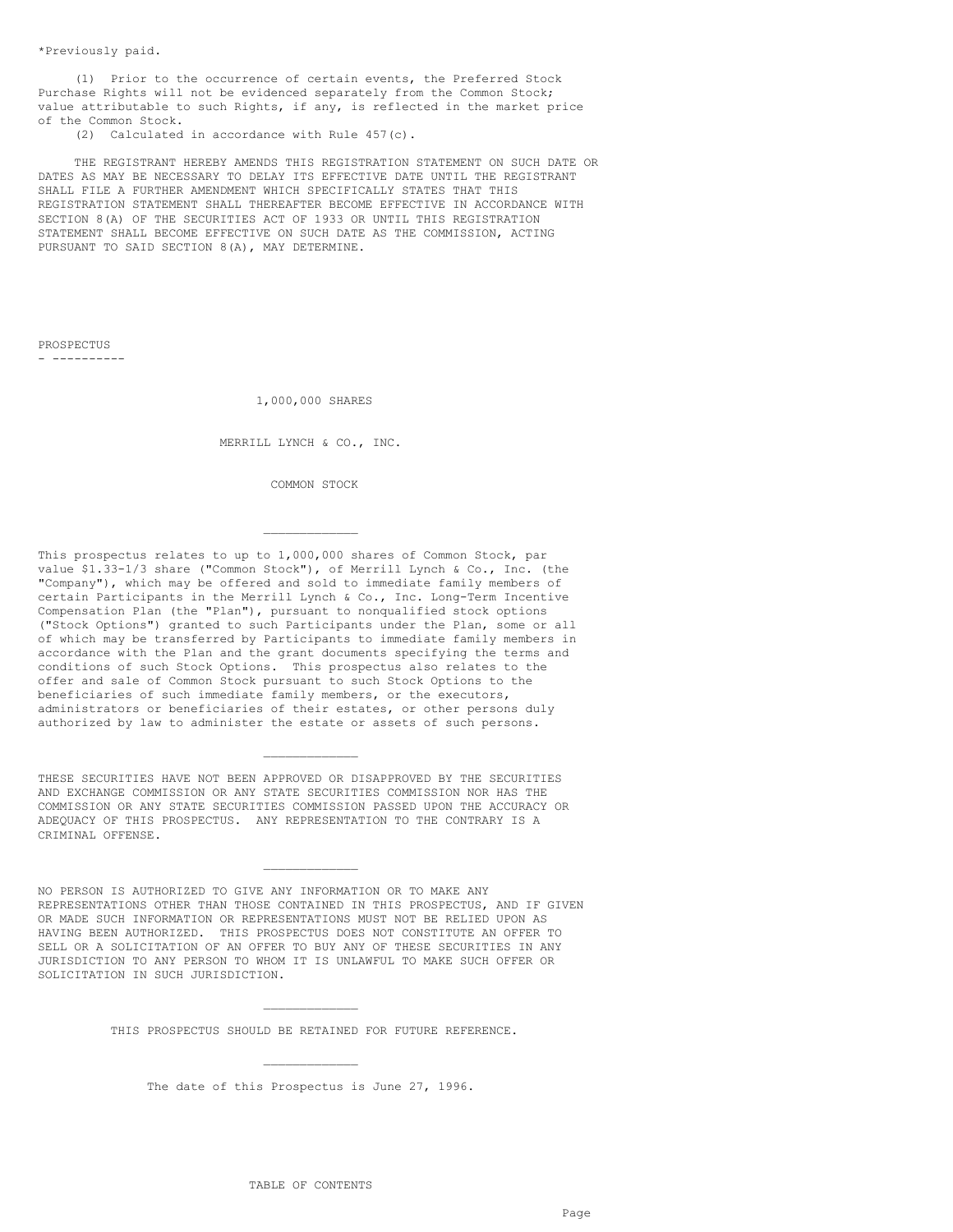\*Previously paid.

(1) Prior to the occurrence of certain events, the Preferred Stock Purchase Rights will not be evidenced separately from the Common Stock; value attributable to such Rights, if any, is reflected in the market price of the Common Stock.

(2) Calculated in accordance with Rule 457(c).

THE REGISTRANT HEREBY AMENDS THIS REGISTRATION STATEMENT ON SUCH DATE OR DATES AS MAY BE NECESSARY TO DELAY ITS EFFECTIVE DATE UNTIL THE REGISTRANT SHALL FILE A FURTHER AMENDMENT WHICH SPECIFICALLY STATES THAT THIS REGISTRATION STATEMENT SHALL THEREAFTER BECOME EFFECTIVE IN ACCORDANCE WITH SECTION 8(A) OF THE SECURITIES ACT OF 1933 OR UNTIL THIS REGISTRATION STATEMENT SHALL BECOME EFFECTIVE ON SUCH DATE AS THE COMMISSION, ACTING PURSUANT TO SAID SECTION 8(A), MAY DETERMINE.

PROSPECTUS - ----------

1,000,000 SHARES

MERRILL LYNCH & CO., INC.

COMMON STOCK

 $\mathcal{L}=\mathcal{L}=\mathcal{L}=\mathcal{L}=\mathcal{L}$ 

This prospectus relates to up to 1,000,000 shares of Common Stock, par value \$1.33-1/3 share ("Common Stock"), of Merrill Lynch & Co., Inc. (the "Company"), which may be offered and sold to immediate family members of certain Participants in the Merrill Lynch & Co., Inc. Long-Term Incentive Compensation Plan (the "Plan"), pursuant to nonqualified stock options ("Stock Options") granted to such Participants under the Plan, some or all of which may be transferred by Participants to immediate family members in accordance with the Plan and the grant documents specifying the terms and conditions of such Stock Options. This prospectus also relates to the offer and sale of Common Stock pursuant to such Stock Options to the beneficiaries of such immediate family members, or the executors, administrators or beneficiaries of their estates, or other persons duly authorized by law to administer the estate or assets of such persons.

THESE SECURITIES HAVE NOT BEEN APPROVED OR DISAPPROVED BY THE SECURITIES AND EXCHANGE COMMISSION OR ANY STATE SECURITIES COMMISSION NOR HAS THE COMMISSION OR ANY STATE SECURITIES COMMISSION PASSED UPON THE ACCURACY OR ADEQUACY OF THIS PROSPECTUS. ANY REPRESENTATION TO THE CONTRARY IS A CRIMINAL OFFENSE.

 $\mathcal{L}=\mathcal{L}=\mathcal{L}=\mathcal{L}=\mathcal{L}$ 

NO PERSON IS AUTHORIZED TO GIVE ANY INFORMATION OR TO MAKE ANY REPRESENTATIONS OTHER THAN THOSE CONTAINED IN THIS PROSPECTUS, AND IF GIVEN OR MADE SUCH INFORMATION OR REPRESENTATIONS MUST NOT BE RELIED UPON AS HAVING BEEN AUTHORIZED. THIS PROSPECTUS DOES NOT CONSTITUTE AN OFFER TO SELL OR A SOLICITATION OF AN OFFER TO BUY ANY OF THESE SECURITIES IN ANY JURISDICTION TO ANY PERSON TO WHOM IT IS UNLAWFUL TO MAKE SUCH OFFER OR SOLICITATION IN SUCH JURISDICTION.

 $\mathcal{L}=\mathcal{L}=\mathcal{L}=\mathcal{L}=\mathcal{L}$ 

 $\mathcal{L}=\mathcal{L}=\mathcal{L}=\mathcal{L}=\mathcal{L}$ THIS PROSPECTUS SHOULD BE RETAINED FOR FUTURE REFERENCE.

 $\mathcal{L}=\mathcal{L}=\mathcal{L}=\mathcal{L}=\mathcal{L}$ The date of this Prospectus is June 27, 1996.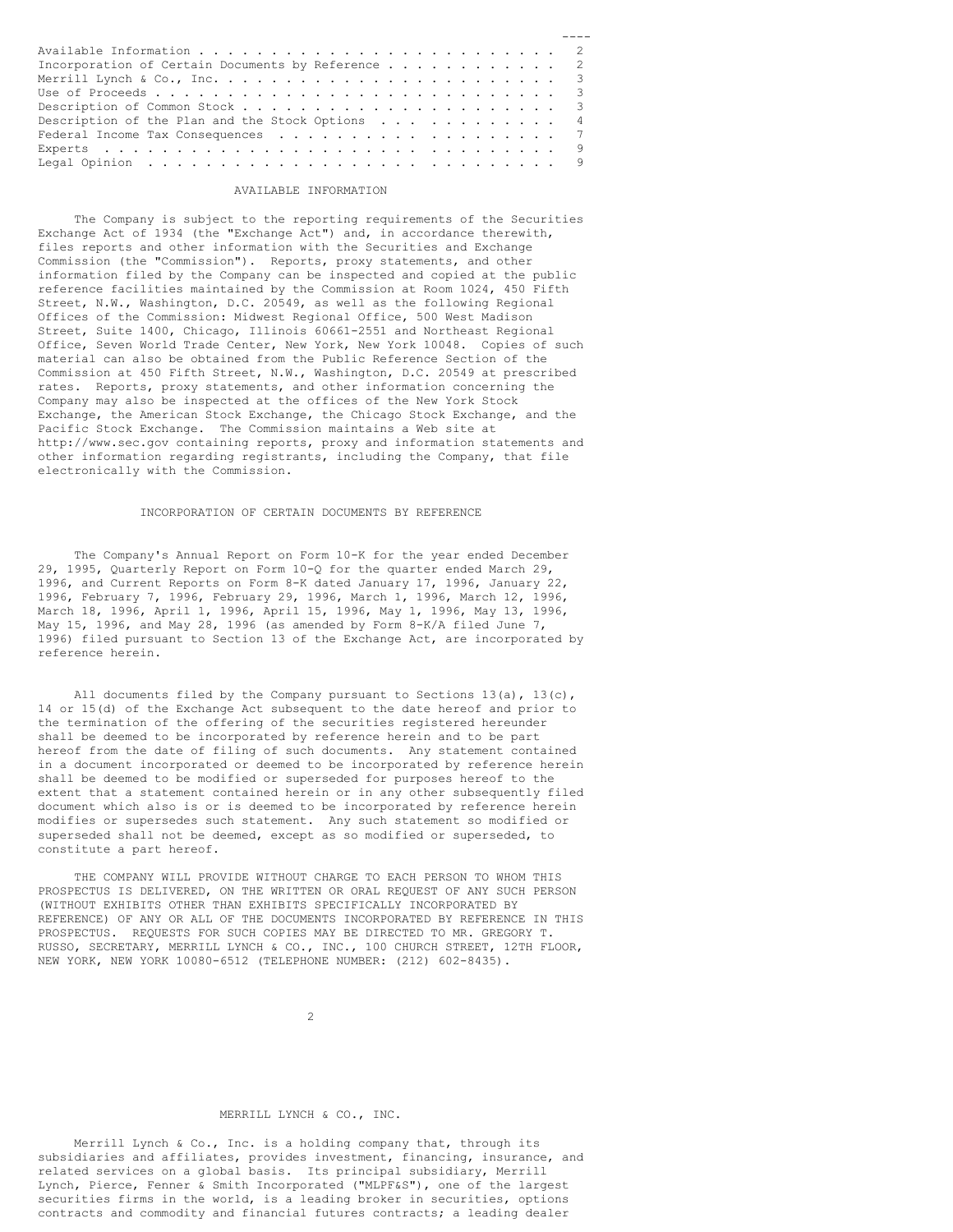| Incorporation of Certain Documents by Reference 2                                     |  |
|---------------------------------------------------------------------------------------|--|
|                                                                                       |  |
|                                                                                       |  |
|                                                                                       |  |
| Description of the Plan and the Stock Options $\ldots$ 4                              |  |
|                                                                                       |  |
|                                                                                       |  |
| Legal Opinion $\ldots \ldots \ldots \ldots \ldots \ldots \ldots \ldots \ldots \ldots$ |  |

### AVAILABLE INFORMATION

The Company is subject to the reporting requirements of the Securities Exchange Act of 1934 (the "Exchange Act") and, in accordance therewith, files reports and other information with the Securities and Exchange Commission (the "Commission"). Reports, proxy statements, and other information filed by the Company can be inspected and copied at the public reference facilities maintained by the Commission at Room 1024, 450 Fifth Street, N.W., Washington, D.C. 20549, as well as the following Regional Offices of the Commission: Midwest Regional Office, 500 West Madison Street, Suite 1400, Chicago, Illinois 60661-2551 and Northeast Regional Office, Seven World Trade Center, New York, New York 10048. Copies of such material can also be obtained from the Public Reference Section of the Commission at 450 Fifth Street, N.W., Washington, D.C. 20549 at prescribed rates. Reports, proxy statements, and other information concerning the Company may also be inspected at the offices of the New York Stock Exchange, the American Stock Exchange, the Chicago Stock Exchange, and the Pacific Stock Exchange. The Commission maintains a Web site at http://www.sec.gov containing reports, proxy and information statements and other information regarding registrants, including the Company, that file electronically with the Commission.

## INCORPORATION OF CERTAIN DOCUMENTS BY REFERENCE

The Company's Annual Report on Form 10-K for the year ended December 29, 1995, Quarterly Report on Form 10-Q for the quarter ended March 29, 1996, and Current Reports on Form 8-K dated January 17, 1996, January 22, 1996, February 7, 1996, February 29, 1996, March 1, 1996, March 12, 1996, March 18, 1996, April 1, 1996, April 15, 1996, May 1, 1996, May 13, 1996, May 15, 1996, and May 28, 1996 (as amended by Form  $8-K/A$  filed June 7, 1996) filed pursuant to Section 13 of the Exchange Act, are incorporated by reference herein.

All documents filed by the Company pursuant to Sections  $13(a)$ ,  $13(c)$ , 14 or 15(d) of the Exchange Act subsequent to the date hereof and prior to the termination of the offering of the securities registered hereunder shall be deemed to be incorporated by reference herein and to be part hereof from the date of filing of such documents. Any statement contained in a document incorporated or deemed to be incorporated by reference herein shall be deemed to be modified or superseded for purposes hereof to the extent that a statement contained herein or in any other subsequently filed document which also is or is deemed to be incorporated by reference herein modifies or supersedes such statement. Any such statement so modified or superseded shall not be deemed, except as so modified or superseded, to constitute a part hereof.

THE COMPANY WILL PROVIDE WITHOUT CHARGE TO EACH PERSON TO WHOM THIS PROSPECTUS IS DELIVERED, ON THE WRITTEN OR ORAL REQUEST OF ANY SUCH PERSON (WITHOUT EXHIBITS OTHER THAN EXHIBITS SPECIFICALLY INCORPORATED BY REFERENCE) OF ANY OR ALL OF THE DOCUMENTS INCORPORATED BY REFERENCE IN THIS PROSPECTUS. REQUESTS FOR SUCH COPIES MAY BE DIRECTED TO MR. GREGORY T. RUSSO, SECRETARY, MERRILL LYNCH & CO., INC., 100 CHURCH STREET, 12TH FLOOR, NEW YORK, NEW YORK 10080-6512 (TELEPHONE NUMBER: (212) 602-8435).

 $\overline{2}$ 

# MERRILL LYNCH & CO., INC.

Merrill Lynch & Co., Inc. is a holding company that, through its subsidiaries and affiliates, provides investment, financing, insurance, and related services on a global basis. Its principal subsidiary, Merrill Lynch, Pierce, Fenner & Smith Incorporated ("MLPF&S"), one of the largest securities firms in the world, is a leading broker in securities, options contracts and commodity and financial futures contracts; a leading dealer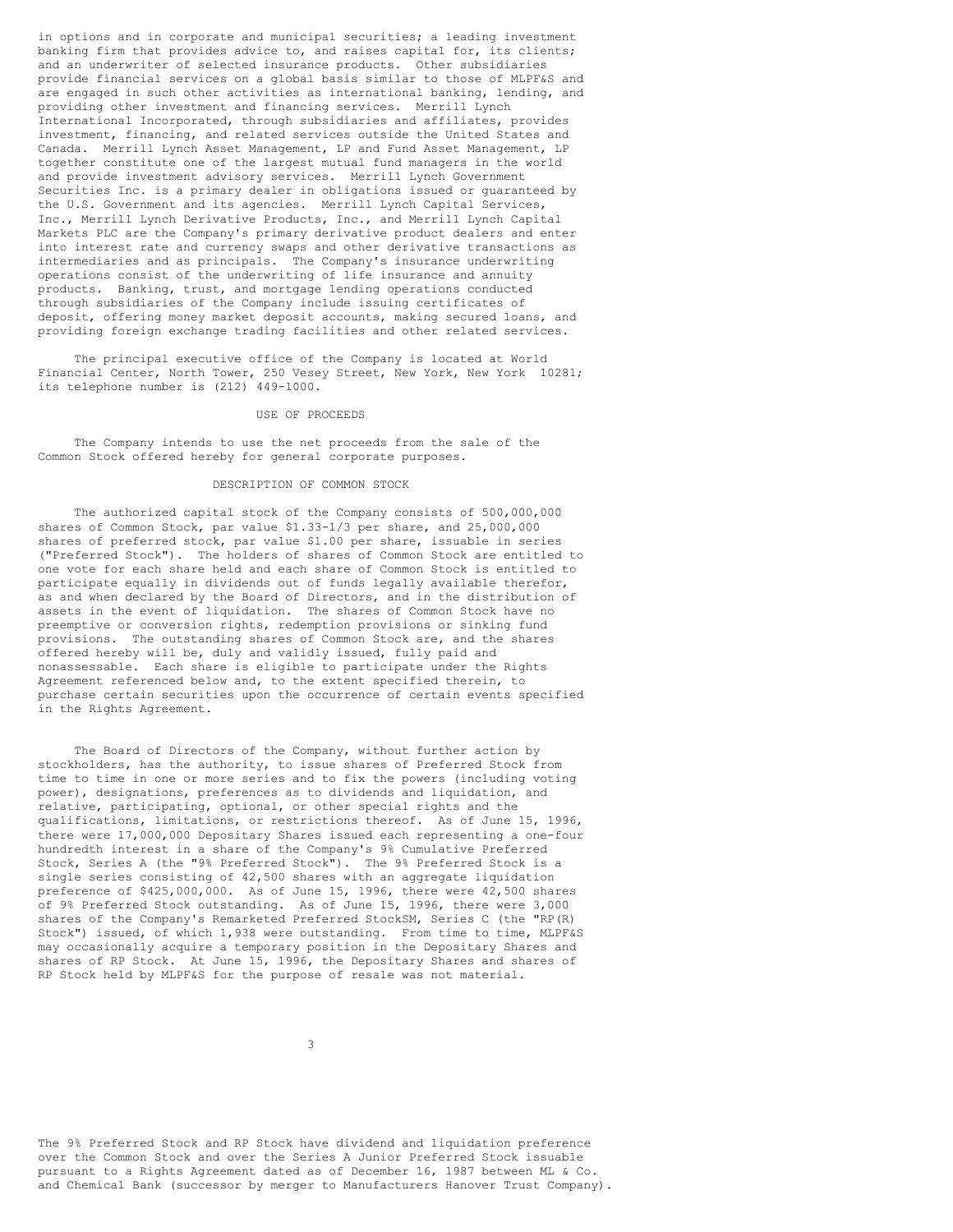in options and in corporate and municipal securities; a leading investment banking firm that provides advice to, and raises capital for, its clients; and an underwriter of selected insurance products. Other subsidiaries provide financial services on a global basis similar to those of MLPF&S and are engaged in such other activities as international banking, lending, and providing other investment and financing services. Merrill Lynch International Incorporated, through subsidiaries and affiliates, provides investment, financing, and related services outside the United States and Canada. Merrill Lynch Asset Management, LP and Fund Asset Management, LP together constitute one of the largest mutual fund managers in the world and provide investment advisory services. Merrill Lynch Government Securities Inc. is a primary dealer in obligations issued or guaranteed by the U.S. Government and its agencies. Merrill Lynch Capital Services, Inc., Merrill Lynch Derivative Products, Inc., and Merrill Lynch Capital Markets PLC are the Company's primary derivative product dealers and enter into interest rate and currency swaps and other derivative transactions as intermediaries and as principals. The Company's insurance underwriting operations consist of the underwriting of life insurance and annuity products. Banking, trust, and mortgage lending operations conducted through subsidiaries of the Company include issuing certificates of deposit, offering money market deposit accounts, making secured loans, and providing foreign exchange trading facilities and other related services.

The principal executive office of the Company is located at World Financial Center, North Tower, 250 Vesey Street, New York, New York 10281; its telephone number is (212) 449-1000.

#### USE OF PROCEEDS

The Company intends to use the net proceeds from the sale of the Common Stock offered hereby for general corporate purposes.

# DESCRIPTION OF COMMON STOCK

The authorized capital stock of the Company consists of 500,000,000 shares of Common Stock, par value \$1.33-1/3 per share, and 25,000,000 shares of preferred stock, par value \$1.00 per share, issuable in series ("Preferred Stock"). The holders of shares of Common Stock are entitled to one vote for each share held and each share of Common Stock is entitled to participate equally in dividends out of funds legally available therefor, as and when declared by the Board of Directors, and in the distribution of assets in the event of liquidation. The shares of Common Stock have no preemptive or conversion rights, redemption provisions or sinking fund provisions. The outstanding shares of Common Stock are, and the shares offered hereby will be, duly and validly issued, fully paid and nonassessable. Each share is eligible to participate under the Rights Agreement referenced below and, to the extent specified therein, to purchase certain securities upon the occurrence of certain events specified in the Rights Agreement.

The Board of Directors of the Company, without further action by stockholders, has the authority, to issue shares of Preferred Stock from time to time in one or more series and to fix the powers (including voting power), designations, preferences as to dividends and liquidation, and relative, participating, optional, or other special rights and the qualifications, limitations, or restrictions thereof. As of June 15, 1996, there were 17,000,000 Depositary Shares issued each representing a one-four hundredth interest in a share of the Company's 9% Cumulative Preferred Stock, Series A (the "9% Preferred Stock"). The 9% Preferred Stock is a single series consisting of 42,500 shares with an aggregate liquidation preference of \$425,000,000. As of June 15, 1996, there were 42,500 shares of 9% Preferred Stock outstanding. As of June 15, 1996, there were 3,000 shares of the Company's Remarketed Preferred StockSM, Series C (the "RP(R) Stock") issued, of which 1,938 were outstanding. From time to time, MLPF&S may occasionally acquire a temporary position in the Depositary Shares and shares of RP Stock. At June 15, 1996, the Depositary Shares and shares of RP Stock held by MLPF&S for the purpose of resale was not material.

The 9% Preferred Stock and RP Stock have dividend and liquidation preference over the Common Stock and over the Series A Junior Preferred Stock issuable pursuant to a Rights Agreement dated as of December 16, 1987 between ML & Co. and Chemical Bank (successor by merger to Manufacturers Hanover Trust Company).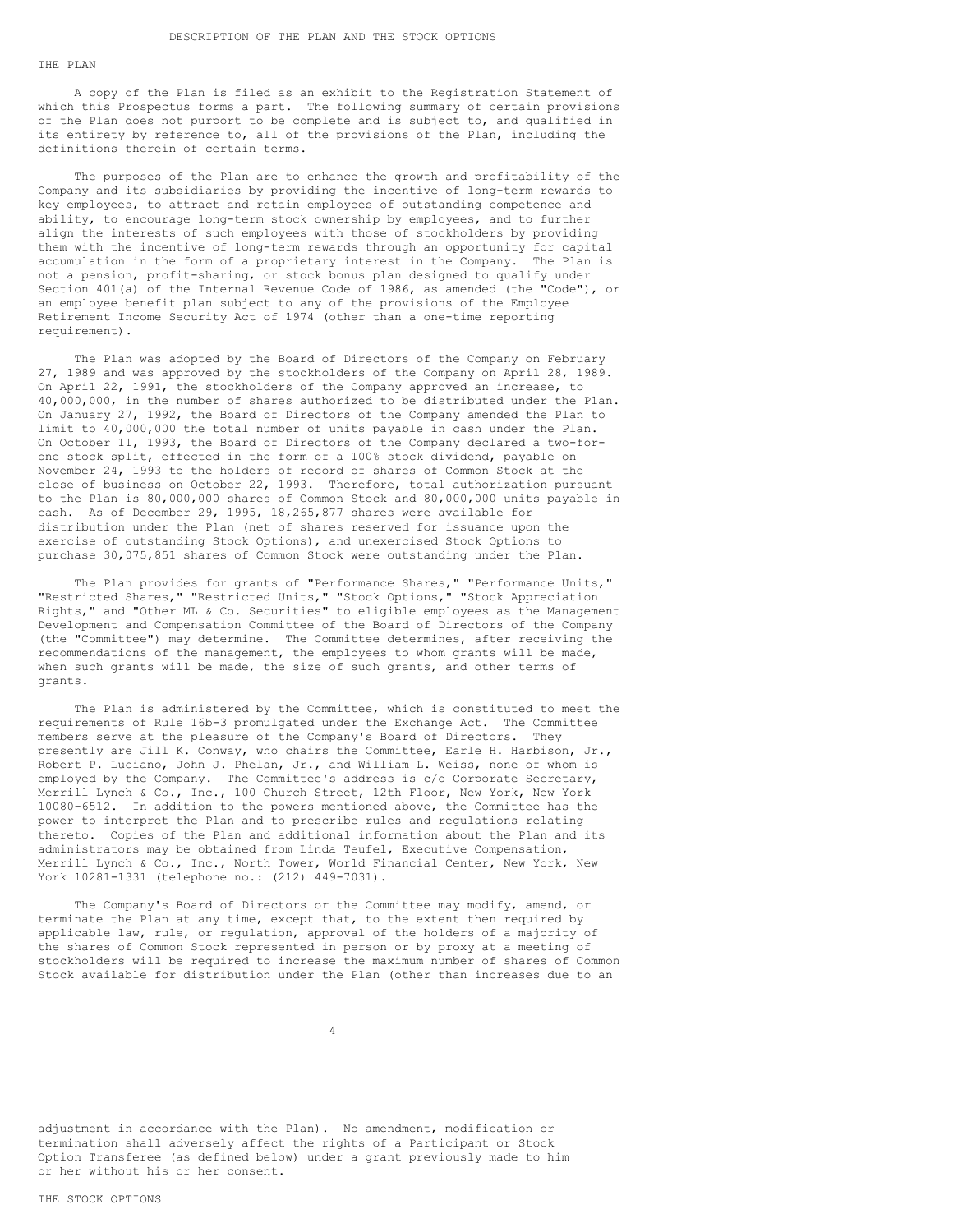#### THE PLAN

A copy of the Plan is filed as an exhibit to the Registration Statement of which this Prospectus forms a part. The following summary of certain provisions of the Plan does not purport to be complete and is subject to, and qualified in its entirety by reference to, all of the provisions of the Plan, including the definitions therein of certain terms.

The purposes of the Plan are to enhance the growth and profitability of the Company and its subsidiaries by providing the incentive of long-term rewards to key employees, to attract and retain employees of outstanding competence and ability, to encourage long-term stock ownership by employees, and to further align the interests of such employees with those of stockholders by providing them with the incentive of long-term rewards through an opportunity for capital accumulation in the form of a proprietary interest in the Company. The Plan is not a pension, profit-sharing, or stock bonus plan designed to qualify under Section 401(a) of the Internal Revenue Code of 1986, as amended (the "Code"), or an employee benefit plan subject to any of the provisions of the Employee Retirement Income Security Act of 1974 (other than a one-time reporting requirement).

The Plan was adopted by the Board of Directors of the Company on February 27, 1989 and was approved by the stockholders of the Company on April 28, 1989. On April 22, 1991, the stockholders of the Company approved an increase, to 40,000,000, in the number of shares authorized to be distributed under the Plan. On January 27, 1992, the Board of Directors of the Company amended the Plan to limit to 40,000,000 the total number of units payable in cash under the Plan. On October 11, 1993, the Board of Directors of the Company declared a two-forone stock split, effected in the form of a 100% stock dividend, payable on November 24, 1993 to the holders of record of shares of Common Stock at the close of business on October 22, 1993. Therefore, total authorization pursuant to the Plan is 80,000,000 shares of Common Stock and 80,000,000 units payable in cash. As of December 29, 1995, 18,265,877 shares were available for distribution under the Plan (net of shares reserved for issuance upon the exercise of outstanding Stock Options), and unexercised Stock Options to purchase 30,075,851 shares of Common Stock were outstanding under the Plan.

The Plan provides for grants of "Performance Shares," "Performance Units," "Restricted Shares," "Restricted Units," "Stock Options," "Stock Appreciation Rights," and "Other ML & Co. Securities" to eligible employees as the Management Development and Compensation Committee of the Board of Directors of the Company (the "Committee") may determine. The Committee determines, after receiving the recommendations of the management, the employees to whom grants will be made, when such grants will be made, the size of such grants, and other terms of grants.

The Plan is administered by the Committee, which is constituted to meet the requirements of Rule 16b-3 promulgated under the Exchange Act. The Committee members serve at the pleasure of the Company's Board of Directors. They presently are Jill K. Conway, who chairs the Committee, Earle H. Harbison, Jr., Robert P. Luciano, John J. Phelan, Jr., and William L. Weiss, none of whom is employed by the Company. The Committee's address is c/o Corporate Secretary, Merrill Lynch & Co., Inc., 100 Church Street, 12th Floor, New York, New York 10080-6512. In addition to the powers mentioned above, the Committee has the power to interpret the Plan and to prescribe rules and regulations relating thereto. Copies of the Plan and additional information about the Plan and its administrators may be obtained from Linda Teufel, Executive Compensation, Merrill Lynch & Co., Inc., North Tower, World Financial Center, New York, New York 10281-1331 (telephone no.: (212) 449-7031).

The Company's Board of Directors or the Committee may modify, amend, or terminate the Plan at any time, except that, to the extent then required by applicable law, rule, or regulation, approval of the holders of a majority of the shares of Common Stock represented in person or by proxy at a meeting of stockholders will be required to increase the maximum number of shares of Common Stock available for distribution under the Plan (other than increases due to an

adjustment in accordance with the Plan). No amendment, modification or termination shall adversely affect the rights of a Participant or Stock Option Transferee (as defined below) under a grant previously made to him or her without his or her consent.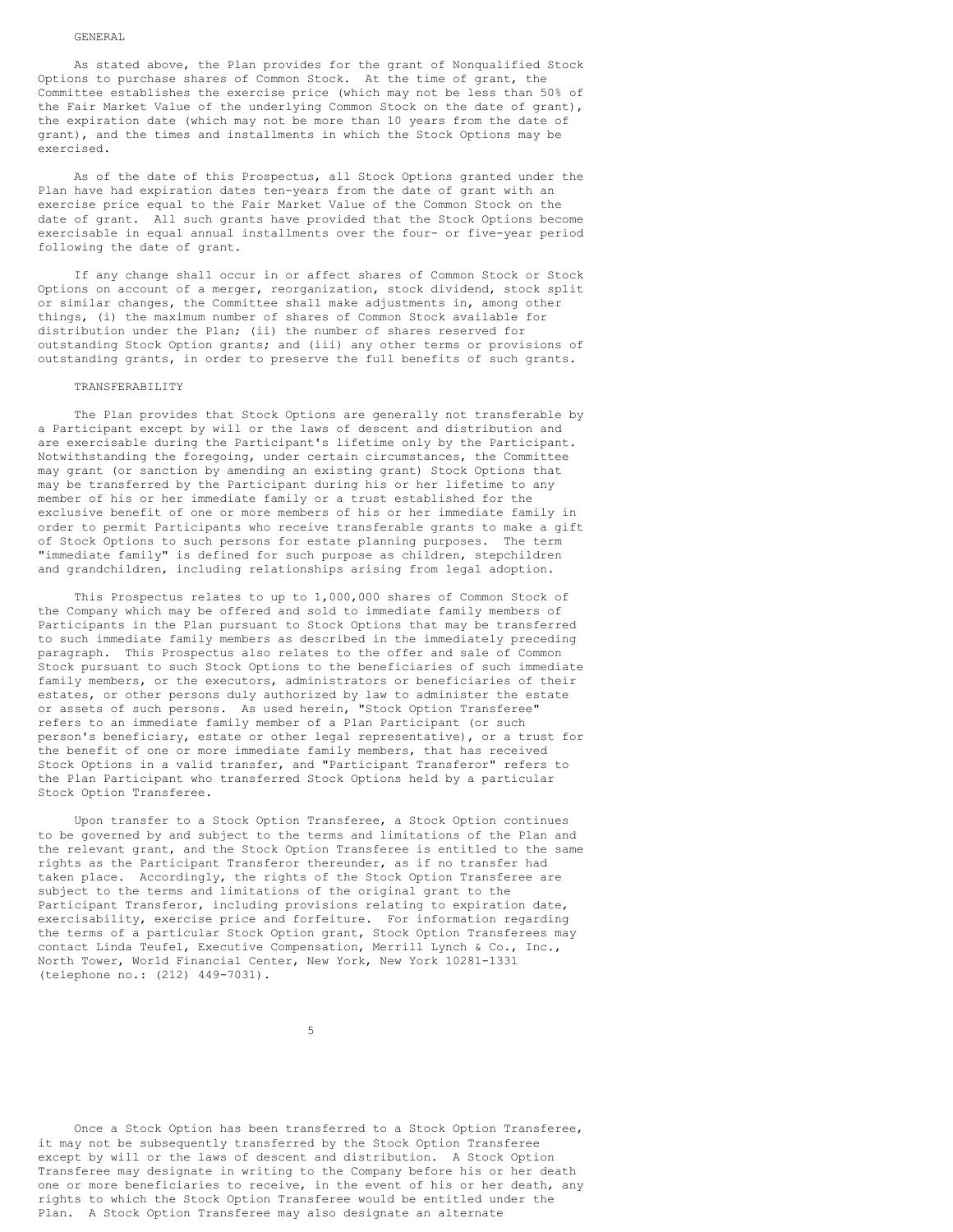#### GENERAL

As stated above, the Plan provides for the grant of Nonqualified Stock Options to purchase shares of Common Stock. At the time of grant, the Committee establishes the exercise price (which may not be less than 50% of the Fair Market Value of the underlying Common Stock on the date of grant), the expiration date (which may not be more than 10 years from the date of grant), and the times and installments in which the Stock Options may be exercised.

As of the date of this Prospectus, all Stock Options granted under the Plan have had expiration dates ten-years from the date of grant with an exercise price equal to the Fair Market Value of the Common Stock on the date of grant. All such grants have provided that the Stock Options become exercisable in equal annual installments over the four- or five-year period following the date of grant.

If any change shall occur in or affect shares of Common Stock or Stock Options on account of a merger, reorganization, stock dividend, stock split or similar changes, the Committee shall make adjustments in, among other things, (i) the maximum number of shares of Common Stock available for distribution under the Plan; (ii) the number of shares reserved for outstanding Stock Option grants; and (iii) any other terms or provisions of outstanding grants, in order to preserve the full benefits of such grants.

## TRANSFERABILITY

The Plan provides that Stock Options are generally not transferable by a Participant except by will or the laws of descent and distribution and are exercisable during the Participant's lifetime only by the Participant. Notwithstanding the foregoing, under certain circumstances, the Committee may grant (or sanction by amending an existing grant) Stock Options that may be transferred by the Participant during his or her lifetime to any member of his or her immediate family or a trust established for the exclusive benefit of one or more members of his or her immediate family in order to permit Participants who receive transferable grants to make a gift of Stock Options to such persons for estate planning purposes. The term "immediate family" is defined for such purpose as children, stepchildren and grandchildren, including relationships arising from legal adoption.

This Prospectus relates to up to 1,000,000 shares of Common Stock of the Company which may be offered and sold to immediate family members of Participants in the Plan pursuant to Stock Options that may be transferred to such immediate family members as described in the immediately preceding paragraph. This Prospectus also relates to the offer and sale of Common Stock pursuant to such Stock Options to the beneficiaries of such immediate family members, or the executors, administrators or beneficiaries of their estates, or other persons duly authorized by law to administer the estate or assets of such persons. As used herein, "Stock Option Transferee" refers to an immediate family member of a Plan Participant (or such person's beneficiary, estate or other legal representative), or a trust for the benefit of one or more immediate family members, that has received Stock Options in a valid transfer, and "Participant Transferor" refers to the Plan Participant who transferred Stock Options held by a particular Stock Option Transferee.

Upon transfer to a Stock Option Transferee, a Stock Option continues to be governed by and subject to the terms and limitations of the Plan and the relevant grant, and the Stock Option Transferee is entitled to the same rights as the Participant Transferor thereunder, as if no transfer had taken place. Accordingly, the rights of the Stock Option Transferee are subject to the terms and limitations of the original grant to the Participant Transferor, including provisions relating to expiration date, exercisability, exercise price and forfeiture. For information regarding the terms of a particular Stock Option grant, Stock Option Transferees may contact Linda Teufel, Executive Compensation, Merrill Lynch & Co., Inc., North Tower, World Financial Center, New York, New York 10281-1331 (telephone no.: (212) 449-7031).

Once a Stock Option has been transferred to a Stock Option Transferee, it may not be subsequently transferred by the Stock Option Transferee except by will or the laws of descent and distribution. A Stock Option Transferee may designate in writing to the Company before his or her death one or more beneficiaries to receive, in the event of his or her death, any rights to which the Stock Option Transferee would be entitled under the Plan. A Stock Option Transferee may also designate an alternate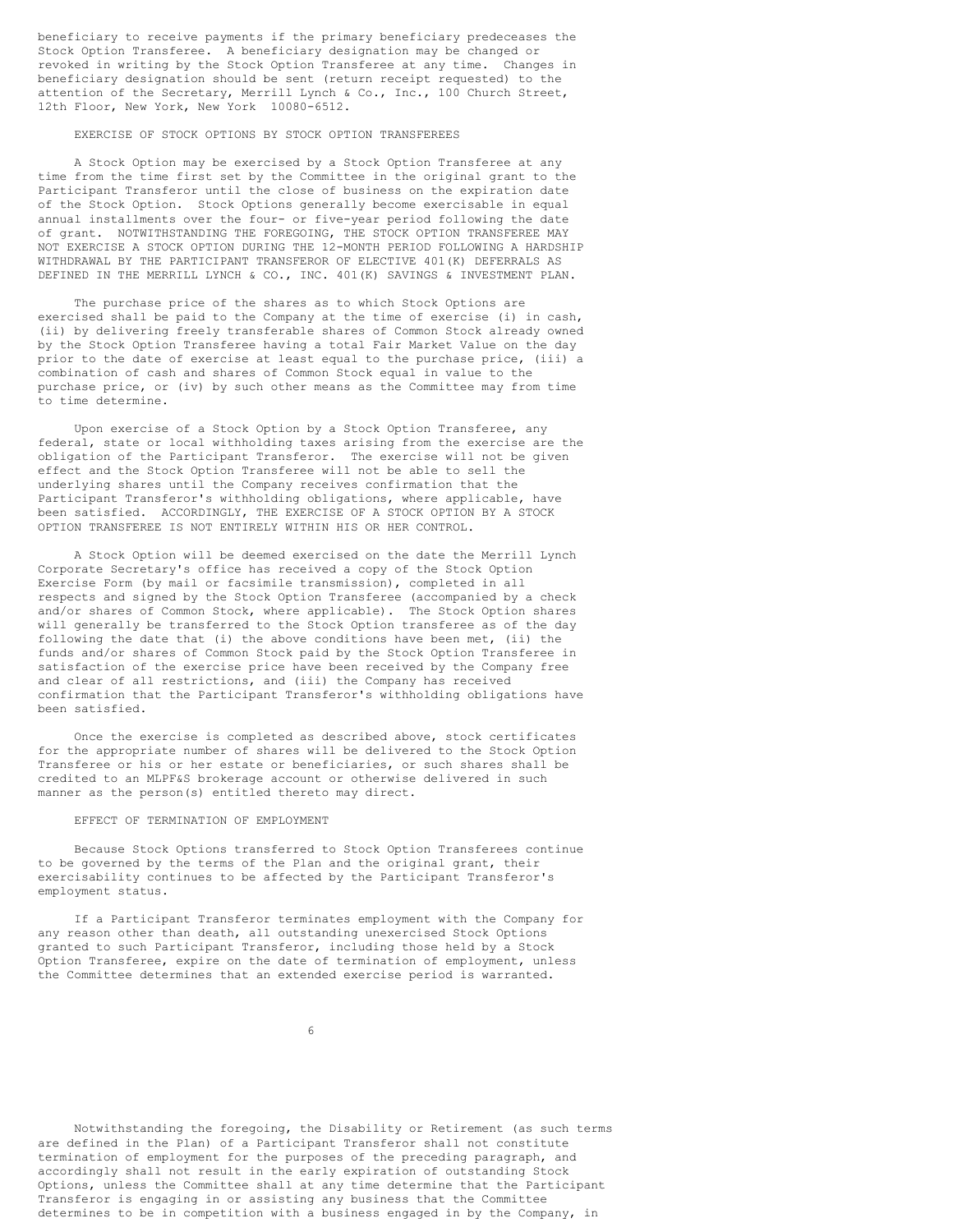beneficiary to receive payments if the primary beneficiary predeceases the Stock Option Transferee. A beneficiary designation may be changed or revoked in writing by the Stock Option Transferee at any time. Changes in beneficiary designation should be sent (return receipt requested) to the attention of the Secretary, Merrill Lynch & Co., Inc., 100 Church Street, 12th Floor, New York, New York 10080-6512.

### EXERCISE OF STOCK OPTIONS BY STOCK OPTION TRANSFEREES

A Stock Option may be exercised by a Stock Option Transferee at any time from the time first set by the Committee in the original grant to the Participant Transferor until the close of business on the expiration date of the Stock Option. Stock Options generally become exercisable in equal annual installments over the four- or five-year period following the date of grant. NOTWITHSTANDING THE FOREGOING, THE STOCK OPTION TRANSFEREE MAY NOT EXERCISE A STOCK OPTION DURING THE 12-MONTH PERIOD FOLLOWING A HARDSHIP WITHDRAWAL BY THE PARTICIPANT TRANSFEROR OF ELECTIVE 401(K) DEFERRALS AS DEFINED IN THE MERRILL LYNCH & CO., INC. 401(K) SAVINGS & INVESTMENT PLAN.

The purchase price of the shares as to which Stock Options are exercised shall be paid to the Company at the time of exercise (i) in cash, (ii) by delivering freely transferable shares of Common Stock already owned by the Stock Option Transferee having a total Fair Market Value on the day prior to the date of exercise at least equal to the purchase price, (iii) a combination of cash and shares of Common Stock equal in value to the purchase price, or (iv) by such other means as the Committee may from time to time determine.

Upon exercise of a Stock Option by a Stock Option Transferee, any federal, state or local withholding taxes arising from the exercise are the obligation of the Participant Transferor. The exercise will not be given effect and the Stock Option Transferee will not be able to sell the underlying shares until the Company receives confirmation that the Participant Transferor's withholding obligations, where applicable, have been satisfied. ACCORDINGLY, THE EXERCISE OF A STOCK OPTION BY A STOCK OPTION TRANSFEREE IS NOT ENTIRELY WITHIN HIS OR HER CONTROL.

A Stock Option will be deemed exercised on the date the Merrill Lynch Corporate Secretary's office has received a copy of the Stock Option Exercise Form (by mail or facsimile transmission), completed in all respects and signed by the Stock Option Transferee (accompanied by a check and/or shares of Common Stock, where applicable). The Stock Option shares will generally be transferred to the Stock Option transferee as of the day following the date that (i) the above conditions have been met, (ii) the funds and/or shares of Common Stock paid by the Stock Option Transferee in satisfaction of the exercise price have been received by the Company free and clear of all restrictions, and (iii) the Company has received confirmation that the Participant Transferor's withholding obligations have been satisfied.

Once the exercise is completed as described above, stock certificates for the appropriate number of shares will be delivered to the Stock Option Transferee or his or her estate or beneficiaries, or such shares shall be credited to an MLPF&S brokerage account or otherwise delivered in such manner as the person(s) entitled thereto may direct.

## EFFECT OF TERMINATION OF EMPLOYMENT

Because Stock Options transferred to Stock Option Transferees continue to be governed by the terms of the Plan and the original grant, their exercisability continues to be affected by the Participant Transferor's employment status.

If a Participant Transferor terminates employment with the Company for any reason other than death, all outstanding unexercised Stock Options granted to such Participant Transferor, including those held by a Stock Option Transferee, expire on the date of termination of employment, unless the Committee determines that an extended exercise period is warranted.

Notwithstanding the foregoing, the Disability or Retirement (as such terms are defined in the Plan) of a Participant Transferor shall not constitute termination of employment for the purposes of the preceding paragraph, and accordingly shall not result in the early expiration of outstanding Stock Options, unless the Committee shall at any time determine that the Participant Transferor is engaging in or assisting any business that the Committee determines to be in competition with a business engaged in by the Company, in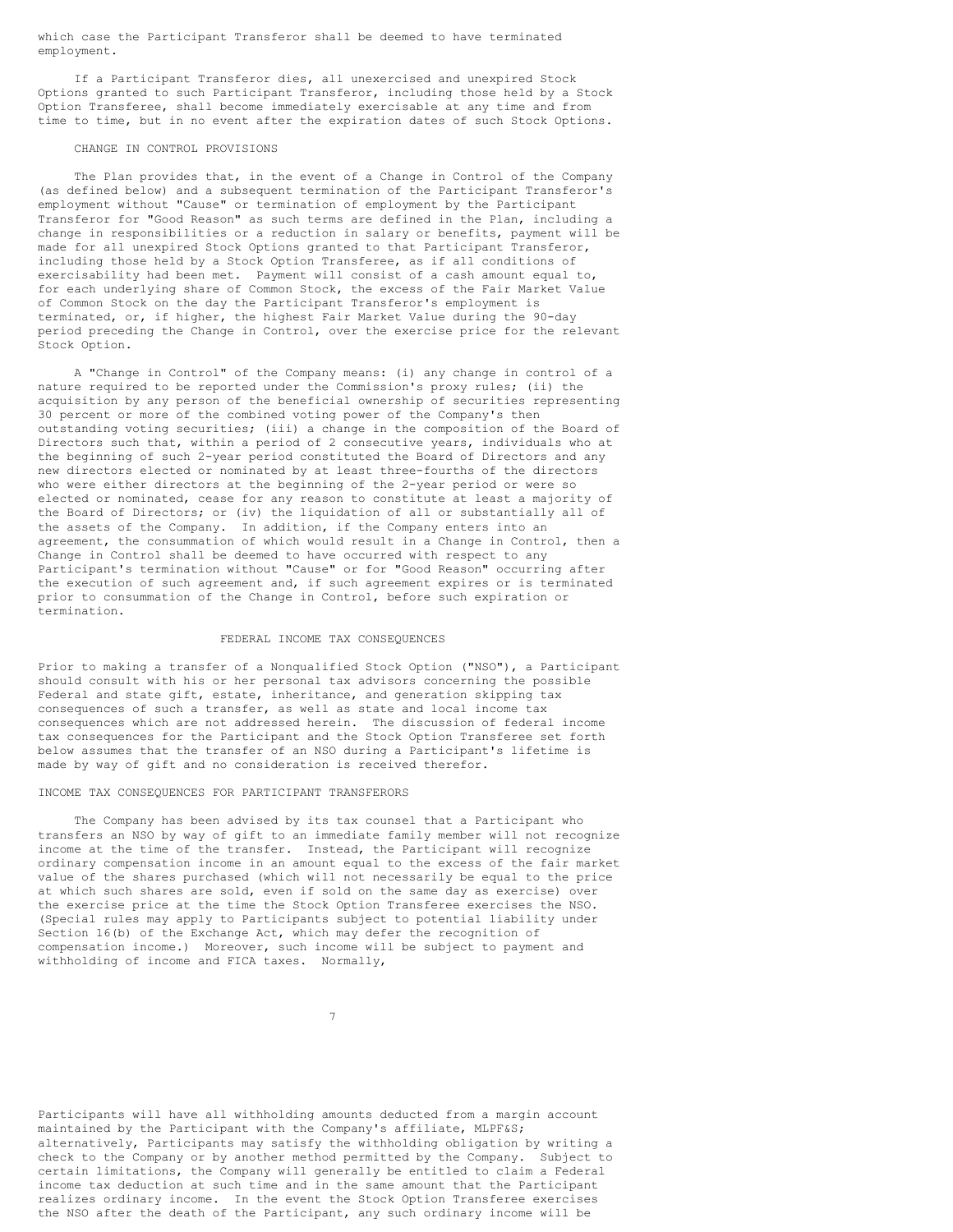which case the Participant Transferor shall be deemed to have terminated employment.

If a Participant Transferor dies, all unexercised and unexpired Stock Options granted to such Participant Transferor, including those held by a Stock Option Transferee, shall become immediately exercisable at any time and from time to time, but in no event after the expiration dates of such Stock Options.

## CHANGE IN CONTROL PROVISIONS

The Plan provides that, in the event of a Change in Control of the Company (as defined below) and a subsequent termination of the Participant Transferor's employment without "Cause" or termination of employment by the Participant Transferor for "Good Reason" as such terms are defined in the Plan, including a change in responsibilities or a reduction in salary or benefits, payment will be made for all unexpired Stock Options granted to that Participant Transferor, including those held by a Stock Option Transferee, as if all conditions of exercisability had been met. Payment will consist of a cash amount equal to, for each underlying share of Common Stock, the excess of the Fair Market Value of Common Stock on the day the Participant Transferor's employment is terminated, or, if higher, the highest Fair Market Value during the 90-day period preceding the Change in Control, over the exercise price for the relevant Stock Option.

A "Change in Control" of the Company means: (i) any change in control of a nature required to be reported under the Commission's proxy rules; (ii) the acquisition by any person of the beneficial ownership of securities representing 30 percent or more of the combined voting power of the Company's then outstanding voting securities; (iii) a change in the composition of the Board of Directors such that, within a period of 2 consecutive years, individuals who at the beginning of such 2-year period constituted the Board of Directors and any new directors elected or nominated by at least three-fourths of the directors who were either directors at the beginning of the 2-year period or were so elected or nominated, cease for any reason to constitute at least a majority of the Board of Directors; or (iv) the liquidation of all or substantially all of the assets of the Company. In addition, if the Company enters into an agreement, the consummation of which would result in a Change in Control, then a Change in Control shall be deemed to have occurred with respect to any Participant's termination without "Cause" or for "Good Reason" occurring after the execution of such agreement and, if such agreement expires or is terminated prior to consummation of the Change in Control, before such expiration or termination.

# FEDERAL INCOME TAX CONSEQUENCES

Prior to making a transfer of a Nonqualified Stock Option ("NSO"), a Participant should consult with his or her personal tax advisors concerning the possible Federal and state gift, estate, inheritance, and generation skipping tax consequences of such a transfer, as well as state and local income tax consequences which are not addressed herein. The discussion of federal income tax consequences for the Participant and the Stock Option Transferee set forth below assumes that the transfer of an NSO during a Participant's lifetime is made by way of gift and no consideration is received therefor.

### INCOME TAX CONSEQUENCES FOR PARTICIPANT TRANSFERORS

The Company has been advised by its tax counsel that a Participant who transfers an NSO by way of gift to an immediate family member will not recognize income at the time of the transfer. Instead, the Participant will recognize ordinary compensation income in an amount equal to the excess of the fair market value of the shares purchased (which will not necessarily be equal to the price at which such shares are sold, even if sold on the same day as exercise) over the exercise price at the time the Stock Option Transferee exercises the NSO. (Special rules may apply to Participants subject to potential liability under Section 16(b) of the Exchange Act, which may defer the recognition of compensation income.) Moreover, such income will be subject to payment and withholding of income and FICA taxes. Normally,

7

Participants will have all withholding amounts deducted from a margin account maintained by the Participant with the Company's affiliate, MLPF&S; alternatively, Participants may satisfy the withholding obligation by writing a check to the Company or by another method permitted by the Company. Subject to certain limitations, the Company will generally be entitled to claim a Federal income tax deduction at such time and in the same amount that the Participant realizes ordinary income. In the event the Stock Option Transferee exercises the NSO after the death of the Participant, any such ordinary income will be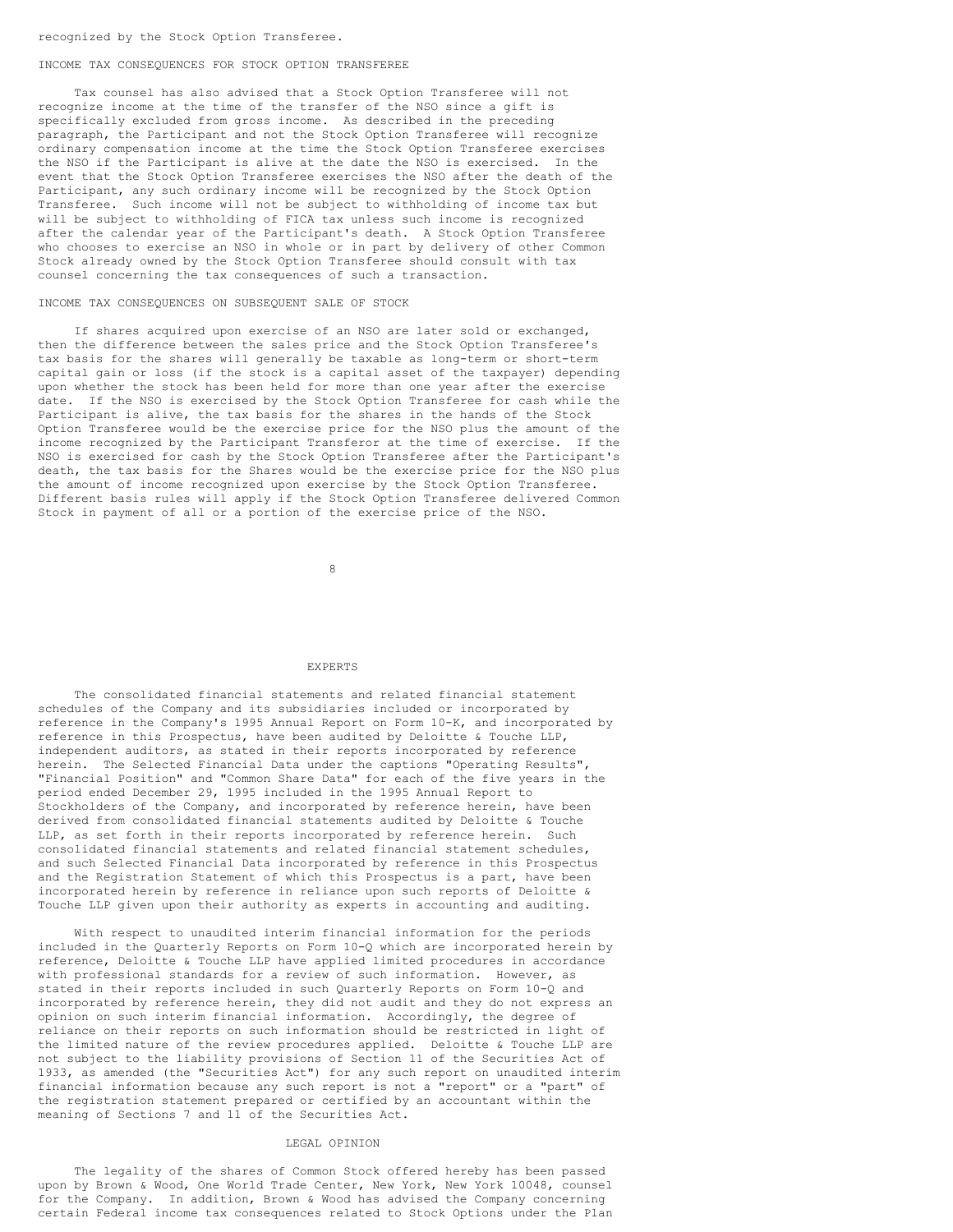### recognized by the Stock Option Transferee.

#### INCOME TAX CONSEQUENCES FOR STOCK OPTION TRANSFEREE

Tax counsel has also advised that a Stock Option Transferee will not recognize income at the time of the transfer of the NSO since a gift is specifically excluded from gross income. As described in the preceding paragraph, the Participant and not the Stock Option Transferee will recognize ordinary compensation income at the time the Stock Option Transferee exercises the NSO if the Participant is alive at the date the NSO is exercised. In the event that the Stock Option Transferee exercises the NSO after the death of the Participant, any such ordinary income will be recognized by the Stock Option Transferee. Such income will not be subject to withholding of income tax but will be subject to withholding of FICA tax unless such income is recognized after the calendar year of the Participant's death. A Stock Option Transferee who chooses to exercise an NSO in whole or in part by delivery of other Common Stock already owned by the Stock Option Transferee should consult with tax counsel concerning the tax consequences of such a transaction.

#### INCOME TAX CONSEQUENCES ON SUBSEQUENT SALE OF STOCK

If shares acquired upon exercise of an NSO are later sold or exchanged, then the difference between the sales price and the Stock Option Transferee's tax basis for the shares will generally be taxable as long-term or short-term capital gain or loss (if the stock is a capital asset of the taxpayer) depending upon whether the stock has been held for more than one year after the exercise date. If the NSO is exercised by the Stock Option Transferee for cash while the Participant is alive, the tax basis for the shares in the hands of the Stock Option Transferee would be the exercise price for the NSO plus the amount of the income recognized by the Participant Transferor at the time of exercise. If the NSO is exercised for cash by the Stock Option Transferee after the Participant's death, the tax basis for the Shares would be the exercise price for the NSO plus the amount of income recognized upon exercise by the Stock Option Transferee. Different basis rules will apply if the Stock Option Transferee delivered Common Stock in payment of all or a portion of the exercise price of the NSO.

8

## EXPERTS

The consolidated financial statements and related financial statement schedules of the Company and its subsidiaries included or incorporated by reference in the Company's 1995 Annual Report on Form 10-K, and incorporated by reference in this Prospectus, have been audited by Deloitte & Touche LLP, independent auditors, as stated in their reports incorporated by reference herein. The Selected Financial Data under the captions "Operating Results", "Financial Position" and "Common Share Data" for each of the five years in the period ended December 29, 1995 included in the 1995 Annual Report to Stockholders of the Company, and incorporated by reference herein, have been derived from consolidated financial statements audited by Deloitte & Touche LLP, as set forth in their reports incorporated by reference herein. Such consolidated financial statements and related financial statement schedules, and such Selected Financial Data incorporated by reference in this Prospectus and the Registration Statement of which this Prospectus is a part, have been incorporated herein by reference in reliance upon such reports of Deloitte & Touche LLP given upon their authority as experts in accounting and auditing.

With respect to unaudited interim financial information for the periods included in the Quarterly Reports on Form 10-Q which are incorporated herein by reference, Deloitte & Touche LLP have applied limited procedures in accordance with professional standards for a review of such information. However, as stated in their reports included in such Quarterly Reports on Form 10-Q and incorporated by reference herein, they did not audit and they do not express an opinion on such interim financial information. Accordingly, the degree of reliance on their reports on such information should be restricted in light of the limited nature of the review procedures applied. Deloitte & Touche LLP are not subject to the liability provisions of Section 11 of the Securities Act of 1933, as amended (the "Securities Act") for any such report on unaudited interim financial information because any such report is not a "report" or a "part" of the registration statement prepared or certified by an accountant within the meaning of Sections 7 and 11 of the Securities Act.

#### LEGAL OPINION

The legality of the shares of Common Stock offered hereby has been passed upon by Brown & Wood, One World Trade Center, New York, New York 10048, counsel for the Company. In addition, Brown & Wood has advised the Company concerning certain Federal income tax consequences related to Stock Options under the Plan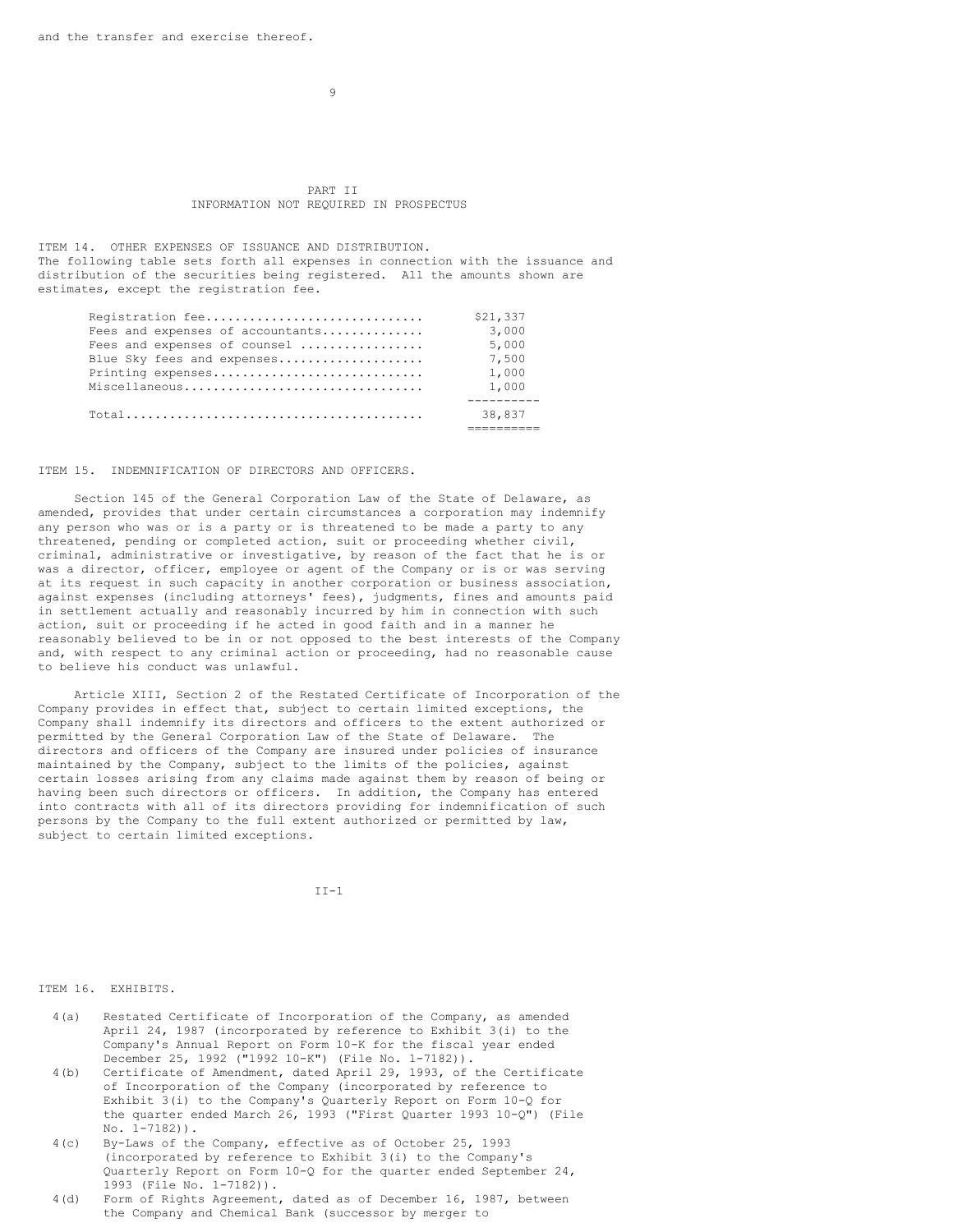$\alpha$ 

## PART II INFORMATION NOT REQUIRED IN PROSPECTUS

ITEM 14. OTHER EXPENSES OF ISSUANCE AND DISTRIBUTION. The following table sets forth all expenses in connection with the issuance and distribution of the securities being registered. All the amounts shown are estimates, except the registration fee.

| Registration fee                                                                               | \$21,337 |
|------------------------------------------------------------------------------------------------|----------|
| Fees and expenses of accountants                                                               | 3,000    |
| Fees and expenses of counsel                                                                   | 5,000    |
| Blue Sky fees and expenses                                                                     | 7,500    |
| Printing expenses                                                                              | 1,000    |
| Miscellaneous                                                                                  | 1,000    |
|                                                                                                |          |
| $\texttt{Total} \dots \dots \dots \dots \dots \dots \dots \dots \dots \dots \dots \dots \dots$ | 38,837   |
|                                                                                                |          |

ITEM 15. INDEMNIFICATION OF DIRECTORS AND OFFICERS.

Section 145 of the General Corporation Law of the State of Delaware, as amended, provides that under certain circumstances a corporation may indemnify any person who was or is a party or is threatened to be made a party to any threatened, pending or completed action, suit or proceeding whether civil, criminal, administrative or investigative, by reason of the fact that he is or was a director, officer, employee or agent of the Company or is or was serving at its request in such capacity in another corporation or business association, against expenses (including attorneys' fees), judgments, fines and amounts paid in settlement actually and reasonably incurred by him in connection with such action, suit or proceeding if he acted in good faith and in a manner he reasonably believed to be in or not opposed to the best interests of the Company and, with respect to any criminal action or proceeding, had no reasonable cause to believe his conduct was unlawful.

Article XIII, Section 2 of the Restated Certificate of Incorporation of the Company provides in effect that, subject to certain limited exceptions, the Company shall indemnify its directors and officers to the extent authorized or permitted by the General Corporation Law of the State of Delaware. The directors and officers of the Company are insured under policies of insurance maintained by the Company, subject to the limits of the policies, against certain losses arising from any claims made against them by reason of being or having been such directors or officers. In addition, the Company has entered into contracts with all of its directors providing for indemnification of such persons by the Company to the full extent authorized or permitted by law, subject to certain limited exceptions.

 $II-1$ 

ITEM 16. EXHIBITS.

- 4(a) Restated Certificate of Incorporation of the Company, as amended April 24, 1987 (incorporated by reference to Exhibit 3(i) to the Company's Annual Report on Form 10-K for the fiscal year ended December 25, 1992 ("1992 10-K") (File No. 1-7182)).
- 4(b) Certificate of Amendment, dated April 29, 1993, of the Certificate of Incorporation of the Company (incorporated by reference to Exhibit 3(i) to the Company's Quarterly Report on Form 10-Q for the quarter ended March 26, 1993 ("First Quarter 1993 10-Q") (File No. 1-7182)).
- 4(c) By-Laws of the Company, effective as of October 25, 1993 (incorporated by reference to Exhibit 3(i) to the Company's Quarterly Report on Form 10-Q for the quarter ended September 24, 1993 (File No. 1-7182)).
- 4(d) Form of Rights Agreement, dated as of December 16, 1987, between the Company and Chemical Bank (successor by merger to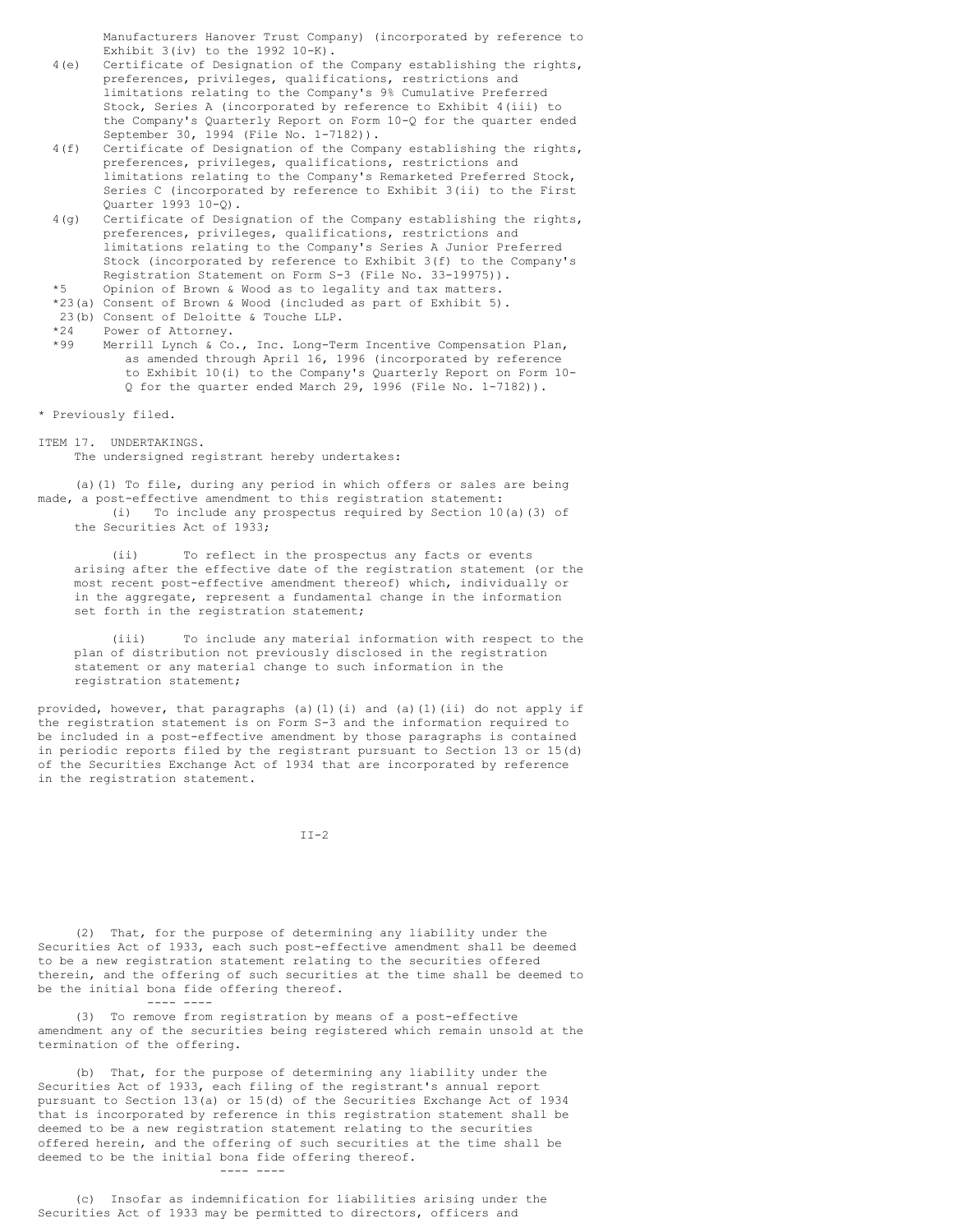Manufacturers Hanover Trust Company) (incorporated by reference to Exhibit  $3(iv)$  to the  $1992$   $10-K$ ).

- 4(e) Certificate of Designation of the Company establishing the rights, preferences, privileges, qualifications, restrictions and limitations relating to the Company's 9% Cumulative Preferred Stock, Series A (incorporated by reference to Exhibit 4(iii) to the Company's Quarterly Report on Form 10-Q for the quarter ended September 30, 1994 (File No. 1-7182)).
- 4(f) Certificate of Designation of the Company establishing the rights, preferences, privileges, qualifications, restrictions and limitations relating to the Company's Remarketed Preferred Stock, Series C (incorporated by reference to Exhibit 3(ii) to the First Quarter 1993 10-Q).
- 4(g) Certificate of Designation of the Company establishing the rights, preferences, privileges, qualifications, restrictions and limitations relating to the Company's Series A Junior Preferred Stock (incorporated by reference to Exhibit 3(f) to the Company's Registration Statement on Form S-3 (File No. 33-19975)).

\*5 Opinion of Brown & Wood as to legality and tax matters.

- \*23(a) Consent of Brown & Wood (included as part of Exhibit 5).
- 23(b) Consent of Deloitte & Touche LLP.

\*24 Power of Attorney.<br>\*99 Merrill Lynch & Co

Merrill Lynch & Co., Inc. Long-Term Incentive Compensation Plan, as amended through April 16, 1996 (incorporated by reference to Exhibit 10(i) to the Company's Quarterly Report on Form 10- Q for the quarter ended March 29, 1996 (File No. 1-7182)).

\* Previously filed.

ITEM 17. UNDERTAKINGS.

The undersigned registrant hereby undertakes:

(a)(1) To file, during any period in which offers or sales are being made, a post-effective amendment to this registration statement: (i) To include any prospectus required by Section 10(a)(3) of the Securities Act of 1933;

To reflect in the prospectus any facts or events arising after the effective date of the registration statement (or the most recent post-effective amendment thereof) which, individually or in the aggregate, represent a fundamental change in the information set forth in the registration statement;

(iii) To include any material information with respect to the plan of distribution not previously disclosed in the registration statement or any material change to such information in the registration statement;

provided, however, that paragraphs (a)(1)(i) and (a)(1)(ii) do not apply if the registration statement is on Form S-3 and the information required to be included in a post-effective amendment by those paragraphs is contained in periodic reports filed by the registrant pursuant to Section 13 or 15(d) of the Securities Exchange Act of 1934 that are incorporated by reference in the registration statement.

```
II-2
```
(2) That, for the purpose of determining any liability under the Securities Act of 1933, each such post-effective amendment shall be deemed to be a new registration statement relating to the securities offered therein, and the offering of such securities at the time shall be deemed to be the initial bona fide offering thereof.

(3) To remove from registration by means of a post-effective amendment any of the securities being registered which remain unsold at the termination of the offering.

(b) That, for the purpose of determining any liability under the Securities Act of 1933, each filing of the registrant's annual report pursuant to Section 13(a) or 15(d) of the Securities Exchange Act of 1934 that is incorporated by reference in this registration statement shall be deemed to be a new registration statement relating to the securities offered herein, and the offering of such securities at the time shall be deemed to be the initial bona fide offering thereof.

---- ----

---- ----

(c) Insofar as indemnification for liabilities arising under the Securities Act of 1933 may be permitted to directors, officers and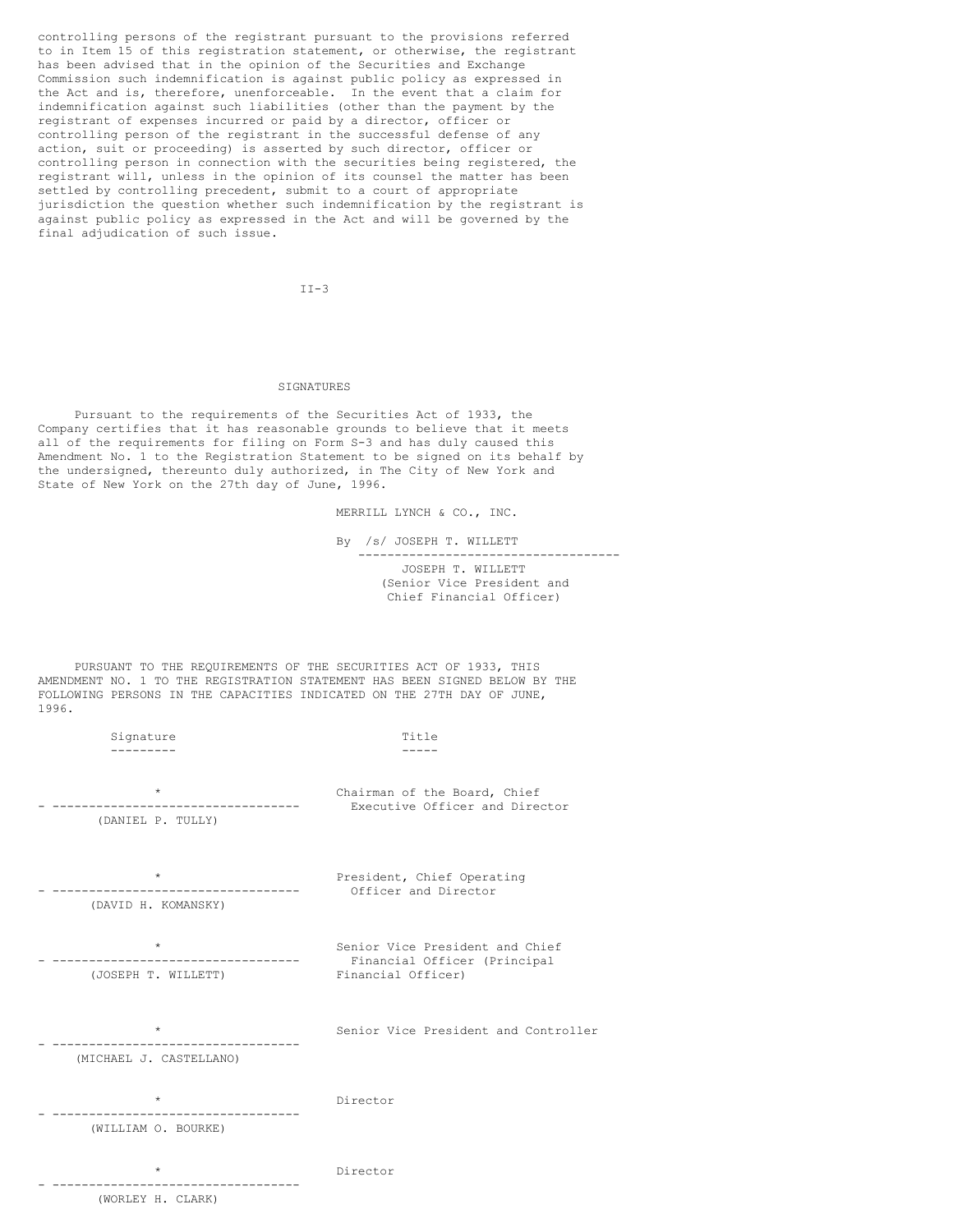controlling persons of the registrant pursuant to the provisions referred to in Item 15 of this registration statement, or otherwise, the registrant has been advised that in the opinion of the Securities and Exchange Commission such indemnification is against public policy as expressed in the Act and is, therefore, unenforceable. In the event that a claim for indemnification against such liabilities (other than the payment by the registrant of expenses incurred or paid by a director, officer or controlling person of the registrant in the successful defense of any action, suit or proceeding) is asserted by such director, officer or controlling person in connection with the securities being registered, the registrant will, unless in the opinion of its counsel the matter has been settled by controlling precedent, submit to a court of appropriate jurisdiction the question whether such indemnification by the registrant is against public policy as expressed in the Act and will be governed by the final adjudication of such issue.

 $TT-3$ 

# SIGNATURES

Pursuant to the requirements of the Securities Act of 1933, the Company certifies that it has reasonable grounds to believe that it meets all of the requirements for filing on Form S-3 and has duly caused this Amendment No. 1 to the Registration Statement to be signed on its behalf by the undersigned, thereunto duly authorized, in The City of New York and State of New York on the 27th day of June, 1996.

MERRILL LYNCH & CO., INC.

By /s/ JOSEPH T. WILLETT ------------------------------------ JOSEPH T. WILLETT (Senior Vice President and Chief Financial Officer)

PURSUANT TO THE REQUIREMENTS OF THE SECURITIES ACT OF 1933, THIS AMENDMENT NO. 1 TO THE REGISTRATION STATEMENT HAS BEEN SIGNED BELOW BY THE FOLLOWING PERSONS IN THE CAPACITIES INDICATED ON THE 27TH DAY OF JUNE, 1996.

| Signature                          | Title                                                                                 |
|------------------------------------|---------------------------------------------------------------------------------------|
| $\star$<br>(DANIEL P. TULLY)       | Chairman of the Board, Chief<br>Executive Officer and Director                        |
| $\star$<br>(DAVID H. KOMANSKY)     | President, Chief Operating<br>Officer and Director                                    |
| $\star$<br>(JOSEPH T. WILLETT)     | Senior Vice President and Chief<br>Financial Officer (Principal<br>Financial Officer) |
| $\star$<br>(MICHAEL J. CASTELLANO) | Senior Vice President and Controller                                                  |
| $\star$<br>(WILLIAM O. BOURKE)     | Director                                                                              |
| $\star$<br>(WORLEY H. CLARK)       | Director                                                                              |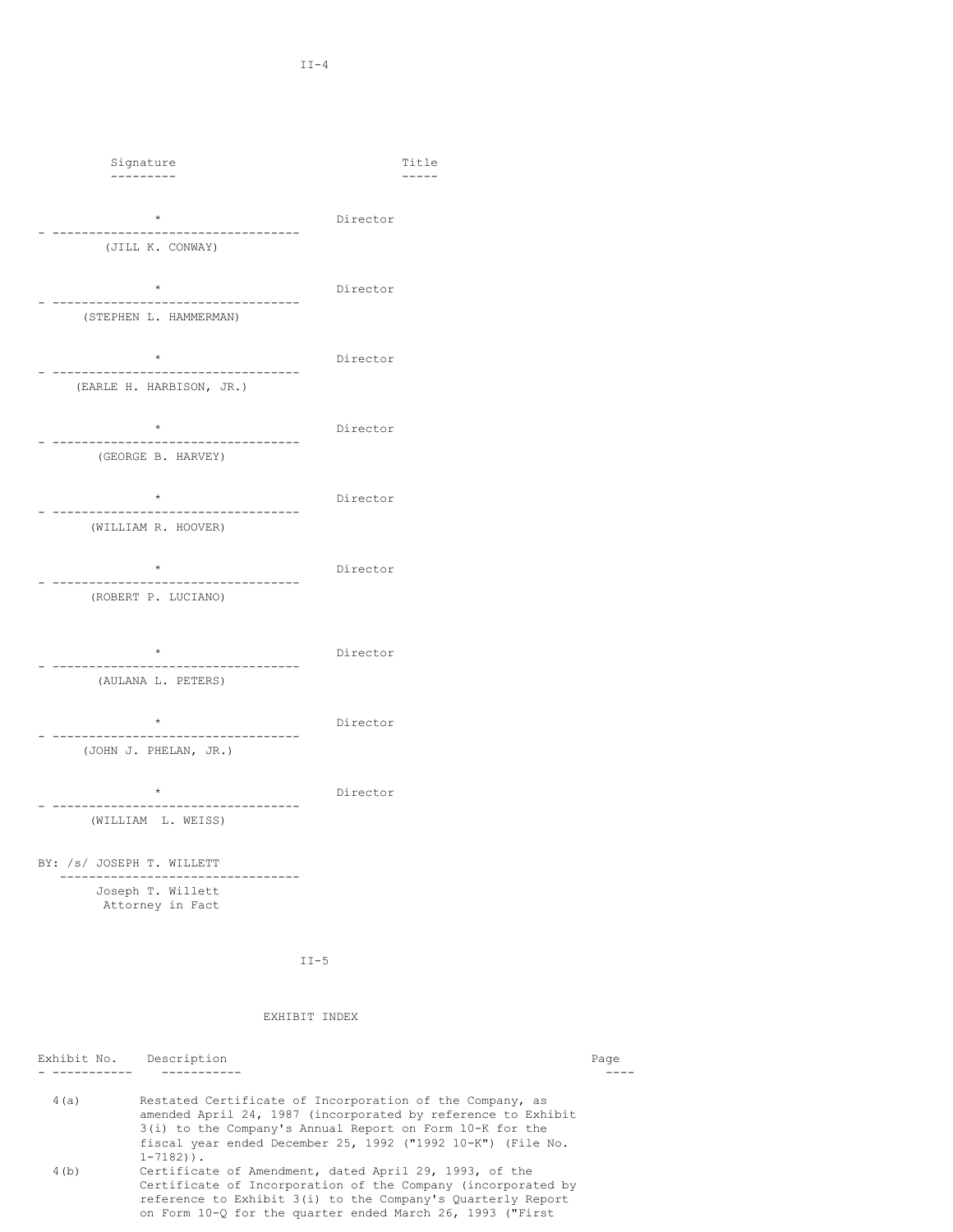$\mathtt{I}$ I-4

| Signature<br>---------                                      |          | Title |
|-------------------------------------------------------------|----------|-------|
| $\star$<br>--------------------                             | Director |       |
| (JILL K. CONWAY)                                            |          |       |
| $\star$<br>---------------------------                      | Director |       |
| (STEPHEN L. HAMMERMAN)                                      |          |       |
| $\star$                                                     | Director |       |
| -------------------------------<br>(EARLE H. HARBISON, JR.) |          |       |
| $\star$                                                     | Director |       |
| (GEORGE B. HARVEY)                                          |          |       |
| $\star$                                                     | Director |       |
| (WILLIAM R. HOOVER)                                         |          |       |
| $\star$                                                     | Director |       |
| ----------------------------<br>(ROBERT P. LUCIANO)         |          |       |
|                                                             |          |       |
| $\star$<br>-----------                                      | Director |       |
| (AULANA L. PETERS)                                          |          |       |
| $\star$                                                     | Director |       |
| (JOHN J. PHELAN, JR.)                                       |          |       |
| $\star$                                                     | Director |       |
| (WILLIAM L. WEISS)                                          |          |       |
| BY: /s/ JOSEPH T. WILLETT                                   |          |       |
| Joseph T. Willett<br>Attorney in Fact                       |          |       |

II-5

# EXHIBIT INDEX

Exhibit No. Description Page 2014 - Page 2014 12:30 Page 2014 12:30 Page 2014 12:30 Page 2014 12:30 Page 2014 12:30 - ----------- ----------- ---- 4(a) Restated Certificate of Incorporation of the Company, as amended April 24, 1987 (incorporated by reference to Exhibit 3(i) to the Company's Annual Report on Form 10-K for the fiscal year ended December 25, 1992 ("1992 10-K") (File No. 1-7182)). 4(b) Certificate of Amendment, dated April 29, 1993, of the Certificate of Incorporation of the Company (incorporated by reference to Exhibit 3(i) to the Company's Quarterly Report on Form 10-Q for the quarter ended March 26, 1993 ("First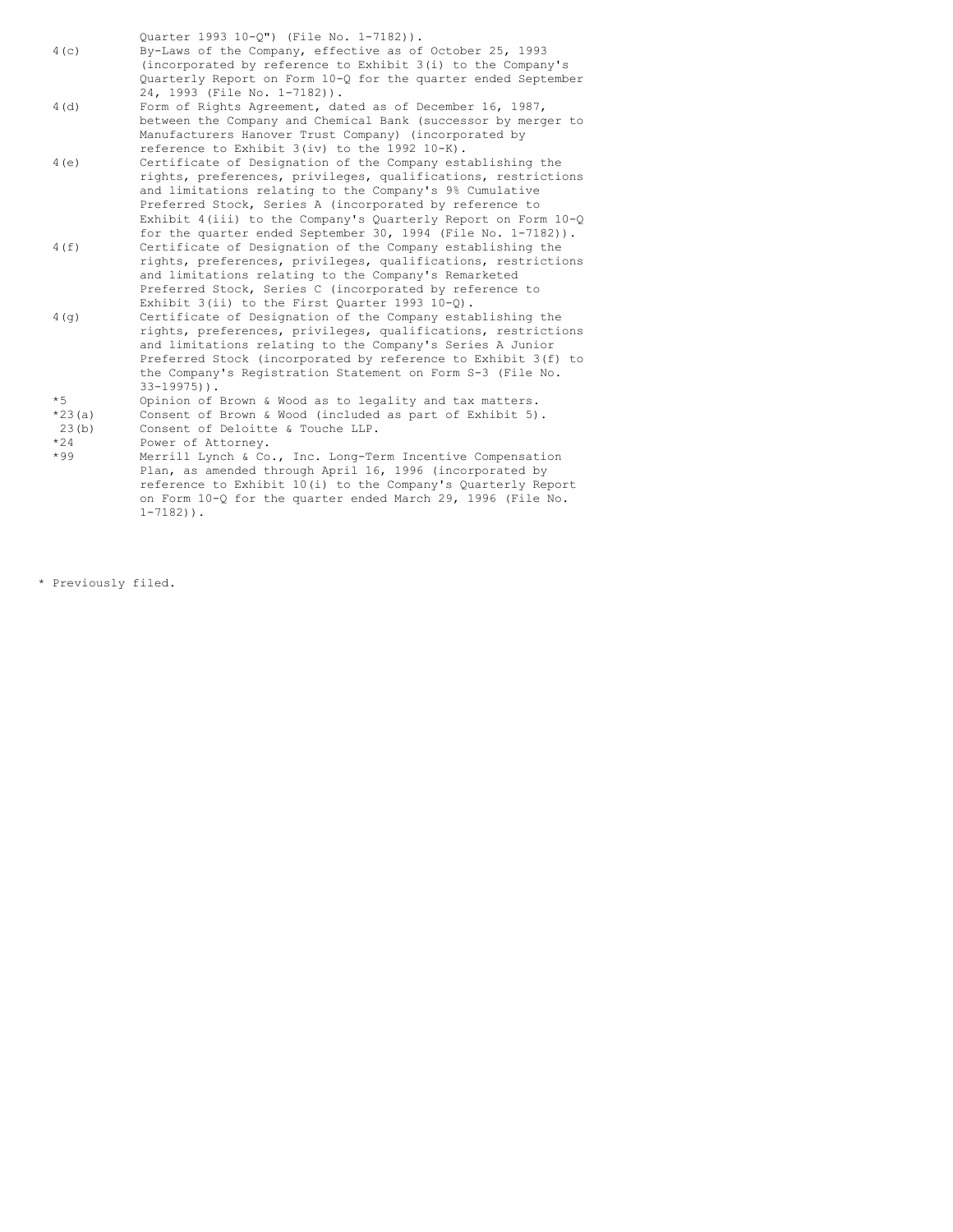Quarter 1993 10-Q") (File No. 1-7182)). 4(c) By-Laws of the Company, effective as of October 25, 1993 (incorporated by reference to Exhibit 3(i) to the Company's Quarterly Report on Form 10-Q for the quarter ended September 24, 1993 (File No. 1-7182)).

- 4(d) Form of Rights Agreement, dated as of December 16, 1987, between the Company and Chemical Bank (successor by merger to Manufacturers Hanover Trust Company) (incorporated by reference to Exhibit 3(iv) to the 1992 10-K).
- 4(e) Certificate of Designation of the Company establishing the rights, preferences, privileges, qualifications, restrictions and limitations relating to the Company's 9% Cumulative Preferred Stock, Series A (incorporated by reference to Exhibit 4(iii) to the Company's Quarterly Report on Form 10-Q
- for the quarter ended September 30, 1994 (File No. 1-7182)). 4(f) Certificate of Designation of the Company establishing the rights, preferences, privileges, qualifications, restrictions and limitations relating to the Company's Remarketed Preferred Stock, Series C (incorporated by reference to Exhibit 3(ii) to the First Quarter 1993 10-Q).
- 4(g) Certificate of Designation of the Company establishing the rights, preferences, privileges, qualifications, restrictions and limitations relating to the Company's Series A Junior Preferred Stock (incorporated by reference to Exhibit 3(f) to the Company's Registration Statement on Form S-3 (File No. 33-19975)).
- \*5 Opinion of Brown & Wood as to legality and tax matters.

\*23(a) Consent of Brown & Wood (included as part of Exhibit 5).

23(b) Consent of Deloitte & Touche LLP.<br>\*24 Power of Attorney.

\*24 Power of Attorney.

Merrill Lynch & Co., Inc. Long-Term Incentive Compensation Plan, as amended through April 16, 1996 (incorporated by reference to Exhibit 10(i) to the Company's Quarterly Report on Form 10-Q for the quarter ended March 29, 1996 (File No. 1-7182)).

\* Previously filed.